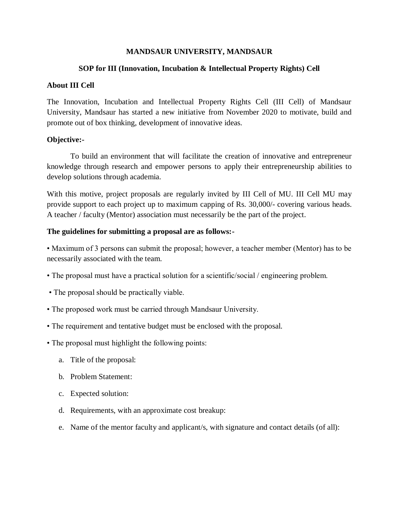# **MANDSAUR UNIVERSITY, MANDSAUR**

# **SOP for III (Innovation, Incubation & Intellectual Property Rights) Cell**

# **About III Cell**

The Innovation, Incubation and Intellectual Property Rights Cell (III Cell) of Mandsaur University, Mandsaur has started a new initiative from November 2020 to motivate, build and promote out of box thinking, development of innovative ideas.

# **Objective:-**

To build an environment that will facilitate the creation of innovative and entrepreneur knowledge through research and empower persons to apply their entrepreneurship abilities to develop solutions through academia.

With this motive, project proposals are regularly invited by III Cell of MU. III Cell MU may provide support to each project up to maximum capping of Rs. 30,000/- covering various heads. A teacher / faculty (Mentor) association must necessarily be the part of the project.

#### **The guidelines for submitting a proposal are as follows:-**

• Maximum of 3 persons can submit the proposal; however, a teacher member (Mentor) has to be necessarily associated with the team.

- The proposal must have a practical solution for a scientific/social / engineering problem.
- The proposal should be practically viable.
- The proposed work must be carried through Mandsaur University.
- The requirement and tentative budget must be enclosed with the proposal.
- The proposal must highlight the following points:
	- a. Title of the proposal:
	- b. Problem Statement:
	- c. Expected solution:
	- d. Requirements, with an approximate cost breakup:
	- e. Name of the mentor faculty and applicant/s, with signature and contact details (of all):